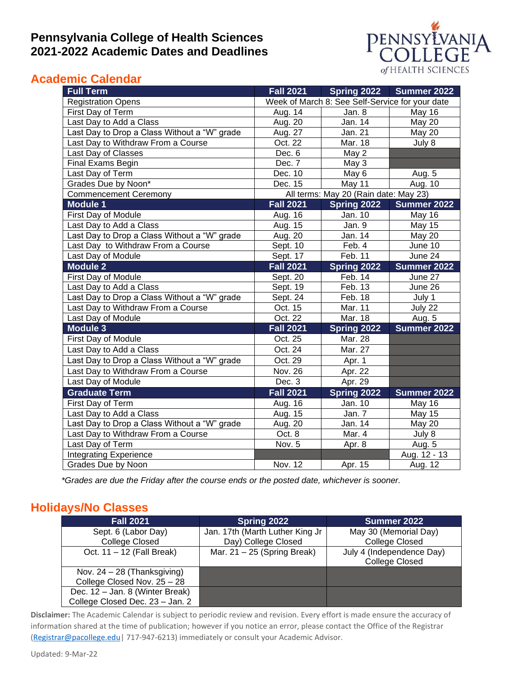### **Pennsylvania College of Health Sciences 2021-2022 Academic Dates and Deadlines**



### **Academic Calendar**

| <b>Full Term</b>                             | <b>Fall 2021</b>                      | Spring 2022                                     | Summer 2022   |
|----------------------------------------------|---------------------------------------|-------------------------------------------------|---------------|
| <b>Registration Opens</b>                    |                                       | Week of March 8: See Self-Service for your date |               |
| First Day of Term                            | Aug. 14                               | Jan. 8                                          | May 16        |
| Last Day to Add a Class                      | Aug. 20                               | Jan. 14                                         | <b>May 20</b> |
| Last Day to Drop a Class Without a "W" grade | Aug. 27                               | Jan. 21                                         | <b>May 20</b> |
| Last Day to Withdraw From a Course           | Oct. 22                               | Mar. 18                                         | July 8        |
| Last Day of Classes                          | Dec. 6                                | May 2                                           |               |
| Final Exams Begin                            | Dec. 7                                | May 3                                           |               |
| Last Day of Term                             | Dec. 10                               | May 6                                           | Aug. 5        |
| Grades Due by Noon*                          | Dec. 15                               | May 11                                          | Aug. 10       |
| <b>Commencement Ceremony</b>                 | All terms: May 20 (Rain date: May 23) |                                                 |               |
| <b>Module 1</b>                              | <b>Fall 2021</b>                      | Spring 2022                                     | Summer 2022   |
| First Day of Module                          | Aug. 16                               | Jan. 10                                         | May 16        |
| Last Day to Add a Class                      | Aug. 15                               | Jan. 9                                          | May 15        |
| Last Day to Drop a Class Without a "W" grade | Aug. 20                               | Jan. 14                                         | May 20        |
| Last Day to Withdraw From a Course           | Sept. 10                              | Feb. 4                                          | June 10       |
| Last Day of Module                           | Sept. 17                              | Feb. 11                                         | June 24       |
| <b>Module 2</b>                              | <b>Fall 2021</b>                      | Spring 2022                                     | Summer 2022   |
| First Day of Module                          | Sept. 20                              | Feb. 14                                         | June 27       |
| Last Day to Add a Class                      | Sept. 19                              | Feb. 13                                         | June 26       |
| Last Day to Drop a Class Without a "W" grade | Sept. 24                              | Feb. 18                                         | July 1        |
| Last Day to Withdraw From a Course           | Oct. 15                               | Mar. 11                                         | July 22       |
| Last Day of Module                           | Oct. 22                               | Mar. 18                                         | Aug. 5        |
| <b>Module 3</b>                              | <b>Fall 2021</b>                      | Spring 2022                                     | Summer 2022   |
| First Day of Module                          | Oct. 25                               | Mar. 28                                         |               |
| Last Day to Add a Class                      | Oct. 24                               | Mar. 27                                         |               |
| Last Day to Drop a Class Without a "W" grade | Oct. 29                               | Apr. 1                                          |               |
| Last Day to Withdraw From a Course           | <b>Nov. 26</b>                        | Apr. 22                                         |               |
| Last Day of Module                           | Dec. 3                                | Apr. 29                                         |               |
| <b>Graduate Term</b>                         | <b>Fall 2021</b>                      | Spring 2022                                     | Summer 2022   |
| First Day of Term                            | Aug. 16                               | Jan. 10                                         | May 16        |
| Last Day to Add a Class                      | Aug. 15                               | Jan. 7                                          | May 15        |
| Last Day to Drop a Class Without a "W" grade | Aug. 20                               | Jan. 14                                         | May 20        |
| Last Day to Withdraw From a Course           | Oct. 8                                | Mar. 4                                          | July 8        |
| Last Day of Term                             | Nov. 5                                | Apr. 8                                          | Aug. 5        |
| <b>Integrating Experience</b>                |                                       |                                                 | Aug. 12 - 13  |
| Grades Due by Noon                           | Nov. 12                               | Apr. 15                                         | Aug. 12       |

*\*Grades are due the Friday after the course ends or the posted date, whichever is sooner.*

#### **Holidays/No Classes**

| <b>Fall 2021</b>                | Spring 2022                     | Summer 2022               |
|---------------------------------|---------------------------------|---------------------------|
| Sept. 6 (Labor Day)             | Jan. 17th (Marth Luther King Jr | May 30 (Memorial Day)     |
| College Closed                  | Day) College Closed             | College Closed            |
| Oct. 11 - 12 (Fall Break)       | Mar. $21 - 25$ (Spring Break)   | July 4 (Independence Day) |
|                                 |                                 | <b>College Closed</b>     |
| Nov. $24 - 28$ (Thanksgiving)   |                                 |                           |
| College Closed Nov. 25 - 28     |                                 |                           |
| Dec. 12 - Jan. 8 (Winter Break) |                                 |                           |
| College Closed Dec. 23 - Jan. 2 |                                 |                           |

**Disclaimer:** The Academic Calendar is subject to periodic review and revision. Every effort is made ensure the accuracy of information shared at the time of publication; however if you notice an error, please contact the Office of the Registrar (Registrar@pacollege.edu | 717-947-6213) immediately or consult your Academic Advisor.